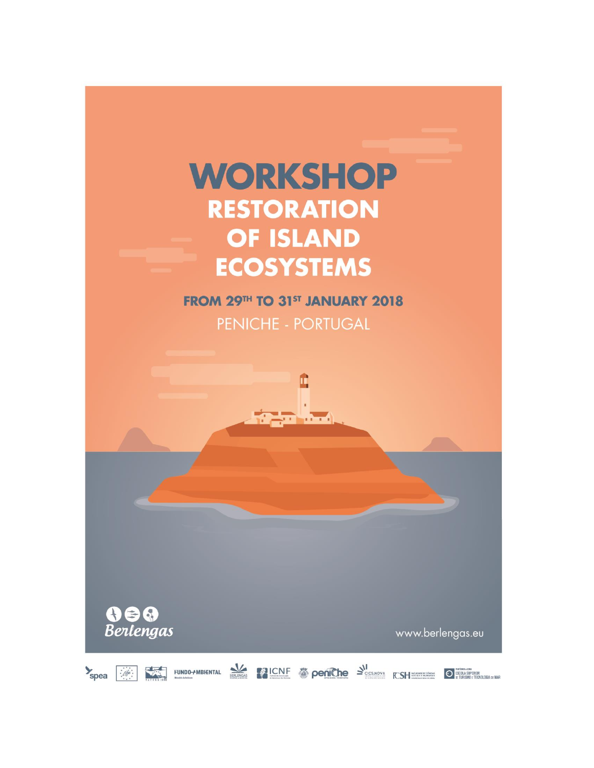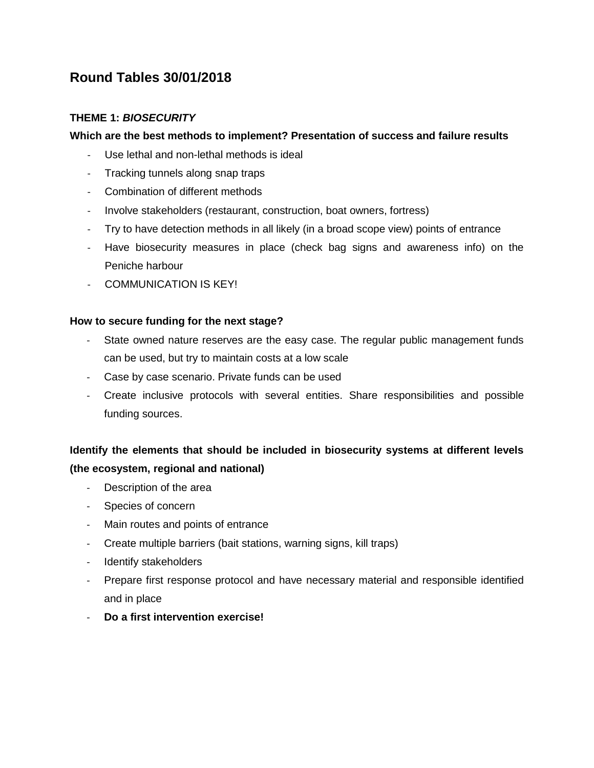# **Round Tables 30/01/2018**

## **THEME 1:** *BIOSECURITY*

## **Which are the best methods to implement? Presentation of success and failure results**

- Use lethal and non-lethal methods is ideal
- Tracking tunnels along snap traps
- Combination of different methods
- Involve stakeholders (restaurant, construction, boat owners, fortress)
- Try to have detection methods in all likely (in a broad scope view) points of entrance
- Have biosecurity measures in place (check bag signs and awareness info) on the Peniche harbour
- COMMUNICATION IS KEY!

### **How to secure funding for the next stage?**

- State owned nature reserves are the easy case. The regular public management funds can be used, but try to maintain costs at a low scale
- Case by case scenario. Private funds can be used
- Create inclusive protocols with several entities. Share responsibilities and possible funding sources.

# **Identify the elements that should be included in biosecurity systems at different levels (the ecosystem, regional and national)**

- Description of the area
- Species of concern
- Main routes and points of entrance
- Create multiple barriers (bait stations, warning signs, kill traps)
- Identify stakeholders
- Prepare first response protocol and have necessary material and responsible identified and in place
- **Do a first intervention exercise!**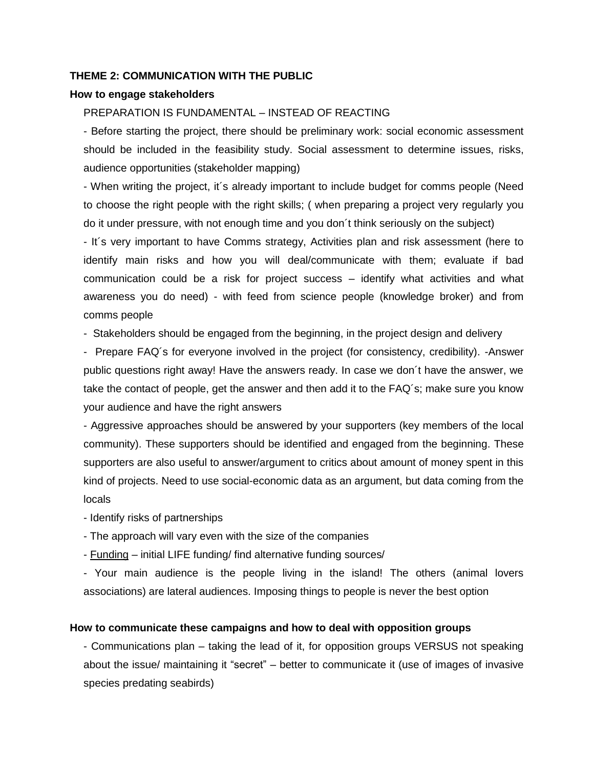### **THEME 2: COMMUNICATION WITH THE PUBLIC**

#### **How to engage stakeholders**

## PREPARATION IS FUNDAMENTAL – INSTEAD OF REACTING

- Before starting the project, there should be preliminary work: social economic assessment should be included in the feasibility study. Social assessment to determine issues, risks, audience opportunities (stakeholder mapping)

- When writing the project, it´s already important to include budget for comms people (Need to choose the right people with the right skills; ( when preparing a project very regularly you do it under pressure, with not enough time and you don´t think seriously on the subject)

- It´s very important to have Comms strategy, Activities plan and risk assessment (here to identify main risks and how you will deal/communicate with them; evaluate if bad communication could be a risk for project success – identify what activities and what awareness you do need) - with feed from science people (knowledge broker) and from comms people

- Stakeholders should be engaged from the beginning, in the project design and delivery

- Prepare FAQ´s for everyone involved in the project (for consistency, credibility). -Answer public questions right away! Have the answers ready. In case we don´t have the answer, we take the contact of people, get the answer and then add it to the FAQ's; make sure you know your audience and have the right answers

- Aggressive approaches should be answered by your supporters (key members of the local community). These supporters should be identified and engaged from the beginning. These supporters are also useful to answer/argument to critics about amount of money spent in this kind of projects. Need to use social-economic data as an argument, but data coming from the locals

- Identify risks of partnerships
- The approach will vary even with the size of the companies
- Funding initial LIFE funding/ find alternative funding sources/

- Your main audience is the people living in the island! The others (animal lovers associations) are lateral audiences. Imposing things to people is never the best option

#### **How to communicate these campaigns and how to deal with opposition groups**

- Communications plan – taking the lead of it, for opposition groups VERSUS not speaking about the issue/ maintaining it "secret" – better to communicate it (use of images of invasive species predating seabirds)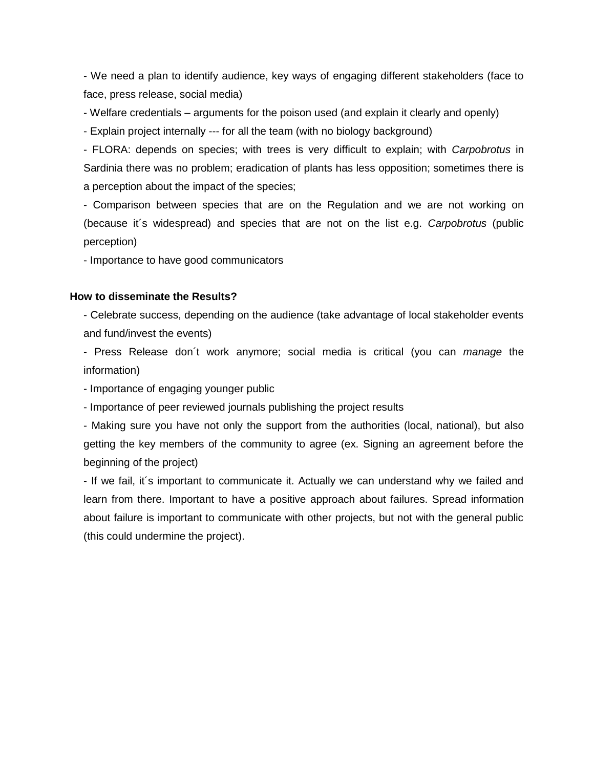- We need a plan to identify audience, key ways of engaging different stakeholders (face to face, press release, social media)

- Welfare credentials – arguments for the poison used (and explain it clearly and openly)

- Explain project internally --- for all the team (with no biology background)

- FLORA: depends on species; with trees is very difficult to explain; with *Carpobrotus* in Sardinia there was no problem; eradication of plants has less opposition; sometimes there is a perception about the impact of the species;

- Comparison between species that are on the Regulation and we are not working on (because it´s widespread) and species that are not on the list e.g. *Carpobrotus* (public perception)

- Importance to have good communicators

#### **How to disseminate the Results?**

- Celebrate success, depending on the audience (take advantage of local stakeholder events and fund/invest the events)

- Press Release don´t work anymore; social media is critical (you can *manage* the information)

- Importance of engaging younger public

- Importance of peer reviewed journals publishing the project results

- Making sure you have not only the support from the authorities (local, national), but also getting the key members of the community to agree (ex. Signing an agreement before the beginning of the project)

- If we fail, it´s important to communicate it. Actually we can understand why we failed and learn from there. Important to have a positive approach about failures. Spread information about failure is important to communicate with other projects, but not with the general public (this could undermine the project).